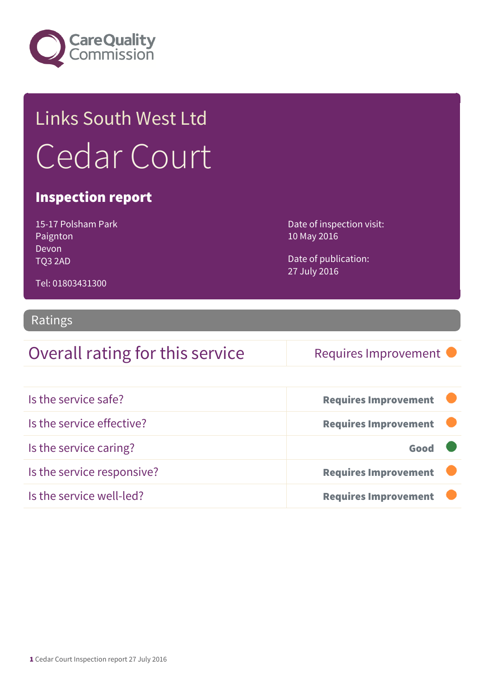

# Links South West Ltd Cedar Court

#### Inspection report

15-17 Polsham Park Paignton Devon TQ3 2AD

Date of inspection visit: 10 May 2016

Date of publication: 27 July 2016

Tel: 01803431300

#### Ratings

#### Overall rating for this service Requires Improvement

| Is the service safe?       | <b>Requires Improvement</b> |
|----------------------------|-----------------------------|
| Is the service effective?  | <b>Requires Improvement</b> |
| Is the service caring?     | Good                        |
| Is the service responsive? | <b>Requires Improvement</b> |
| Is the service well-led?   | <b>Requires Improvement</b> |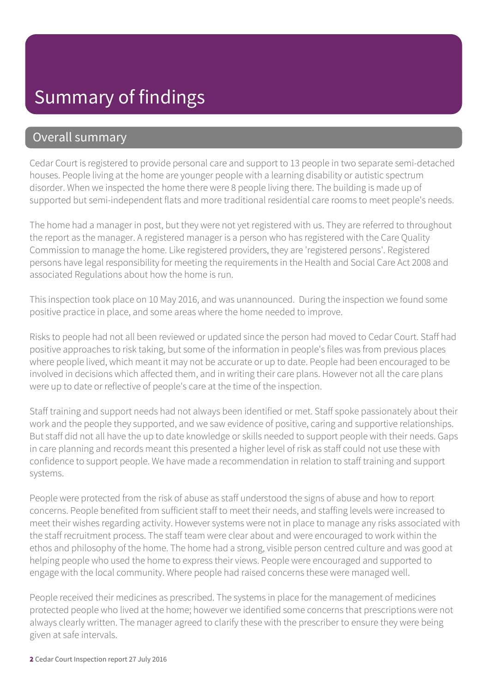### Summary of findings

#### Overall summary

Cedar Court is registered to provide personal care and support to 13 people in two separate semi-detached houses. People living at the home are younger people with a learning disability or autistic spectrum disorder. When we inspected the home there were 8 people living there. The building is made up of supported but semi-independent flats and more traditional residential care rooms to meet people's needs.

The home had a manager in post, but they were not yet registered with us. They are referred to throughout the report as the manager. A registered manager is a person who has registered with the Care Quality Commission to manage the home. Like registered providers, they are 'registered persons'. Registered persons have legal responsibility for meeting the requirements in the Health and Social Care Act 2008 and associated Regulations about how the home is run.

This inspection took place on 10 May 2016, and was unannounced. During the inspection we found some positive practice in place, and some areas where the home needed to improve.

Risks to people had not all been reviewed or updated since the person had moved to Cedar Court. Staff had positive approaches to risk taking, but some of the information in people's files was from previous places where people lived, which meant it may not be accurate or up to date. People had been encouraged to be involved in decisions which affected them, and in writing their care plans. However not all the care plans were up to date or reflective of people's care at the time of the inspection.

Staff training and support needs had not always been identified or met. Staff spoke passionately about their work and the people they supported, and we saw evidence of positive, caring and supportive relationships. But staff did not all have the up to date knowledge or skills needed to support people with their needs. Gaps in care planning and records meant this presented a higher level of risk as staff could not use these with confidence to support people. We have made a recommendation in relation to staff training and support systems.

People were protected from the risk of abuse as staff understood the signs of abuse and how to report concerns. People benefited from sufficient staff to meet their needs, and staffing levels were increased to meet their wishes regarding activity. However systems were not in place to manage any risks associated with the staff recruitment process. The staff team were clear about and were encouraged to work within the ethos and philosophy of the home. The home had a strong, visible person centred culture and was good at helping people who used the home to express their views. People were encouraged and supported to engage with the local community. Where people had raised concerns these were managed well.

People received their medicines as prescribed. The systems in place for the management of medicines protected people who lived at the home; however we identified some concerns that prescriptions were not always clearly written. The manager agreed to clarify these with the prescriber to ensure they were being given at safe intervals.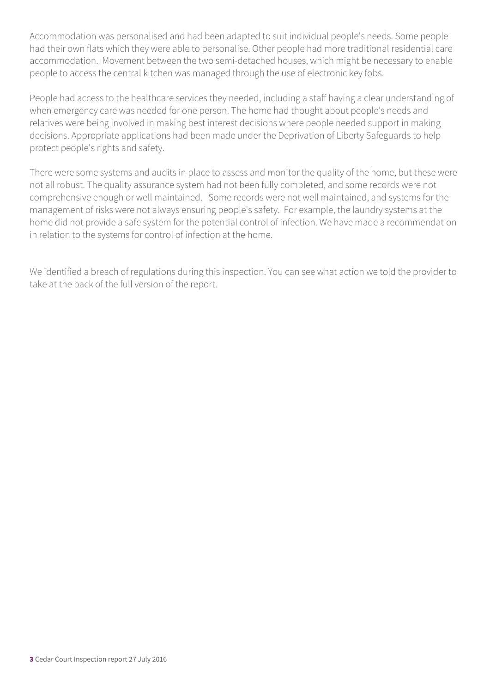Accommodation was personalised and had been adapted to suit individual people's needs. Some people had their own flats which they were able to personalise. Other people had more traditional residential care accommodation. Movement between the two semi-detached houses, which might be necessary to enable people to access the central kitchen was managed through the use of electronic key fobs.

People had access to the healthcare services they needed, including a staff having a clear understanding of when emergency care was needed for one person. The home had thought about people's needs and relatives were being involved in making best interest decisions where people needed support in making decisions. Appropriate applications had been made under the Deprivation of Liberty Safeguards to help protect people's rights and safety.

There were some systems and audits in place to assess and monitor the quality of the home, but these were not all robust. The quality assurance system had not been fully completed, and some records were not comprehensive enough or well maintained. Some records were not well maintained, and systems for the management of risks were not always ensuring people's safety. For example, the laundry systems at the home did not provide a safe system for the potential control of infection. We have made a recommendation in relation to the systems for control of infection at the home.

We identified a breach of regulations during this inspection. You can see what action we told the provider to take at the back of the full version of the report.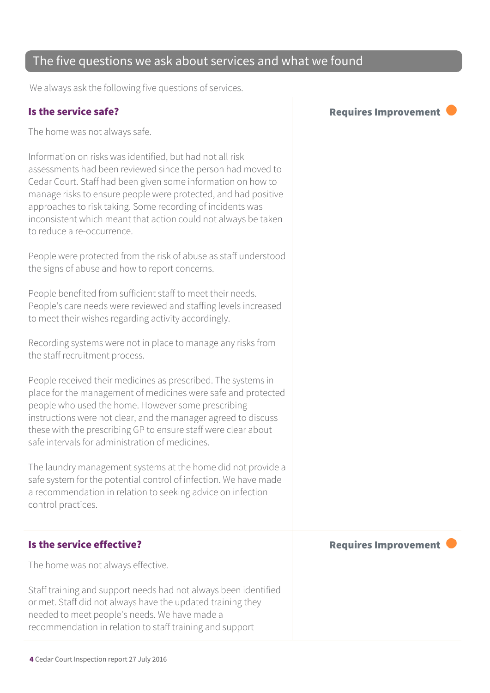#### The five questions we ask about services and what we found

We always ask the following five questions of services.

The home was not always safe.

Information on risks was identified, but had not all risk assessments had been reviewed since the person had moved to Cedar Court. Staff had been given some information on how to manage risks to ensure people were protected, and had positive approaches to risk taking. Some recording of incidents was inconsistent which meant that action could not always be taken to reduce a re-occurrence.

People were protected from the risk of abuse as staff understood the signs of abuse and how to report concerns.

People benefited from sufficient staff to meet their needs. People's care needs were reviewed and staffing levels increased to meet their wishes regarding activity accordingly.

Recording systems were not in place to manage any risks from the staff recruitment process.

People received their medicines as prescribed. The systems in place for the management of medicines were safe and protected people who used the home. However some prescribing instructions were not clear, and the manager agreed to discuss these with the prescribing GP to ensure staff were clear about safe intervals for administration of medicines.

The laundry management systems at the home did not provide a safe system for the potential control of infection. We have made a recommendation in relation to seeking advice on infection control practices.

The home was not always effective.

Staff training and support needs had not always been identified or met. Staff did not always have the updated training they needed to meet people's needs. We have made a recommendation in relation to staff training and support

Is the service safe? The service safe of the service safe of the service safe of the service safe of the service service service service service service service service service service service service service service servi

Is the service effective?  $\blacksquare$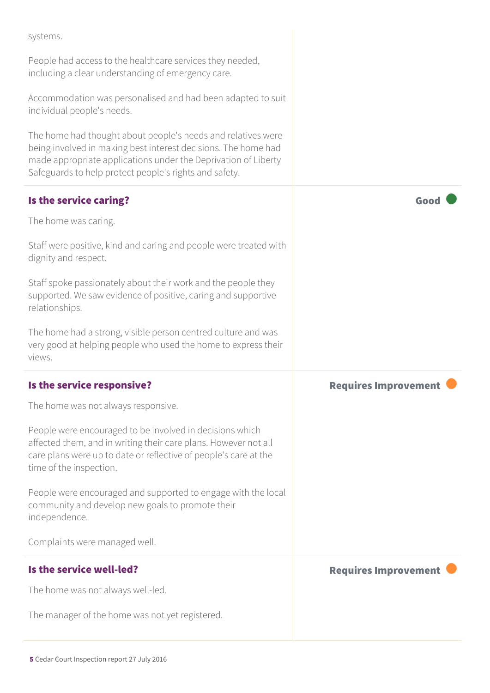systems.

People had access to the healthcare services they needed, including a clear understanding of emergency care.

Accommodation was personalised and had been adapted to suit individual people's needs.

The home had thought about people's needs and relatives were being involved in making best interest decisions. The home had made appropriate applications under the Deprivation of Liberty Safeguards to help protect people's rights and safety.

| Is the service caring?                                                                                                                                                                                                     | Good                        |
|----------------------------------------------------------------------------------------------------------------------------------------------------------------------------------------------------------------------------|-----------------------------|
| The home was caring.                                                                                                                                                                                                       |                             |
| Staff were positive, kind and caring and people were treated with<br>dignity and respect.                                                                                                                                  |                             |
| Staff spoke passionately about their work and the people they<br>supported. We saw evidence of positive, caring and supportive<br>relationships.                                                                           |                             |
| The home had a strong, visible person centred culture and was<br>very good at helping people who used the home to express their<br>views.                                                                                  |                             |
| Is the service responsive?                                                                                                                                                                                                 | <b>Requires Improvement</b> |
| The home was not always responsive.                                                                                                                                                                                        |                             |
| People were encouraged to be involved in decisions which<br>affected them, and in writing their care plans. However not all<br>care plans were up to date or reflective of people's care at the<br>time of the inspection. |                             |
| People were encouraged and supported to engage with the local<br>community and develop new goals to promote their<br>independence.                                                                                         |                             |
| Complaints were managed well.                                                                                                                                                                                              |                             |
| Is the service well-led?                                                                                                                                                                                                   | <b>Requires Improvement</b> |
| The home was not always well-led.                                                                                                                                                                                          |                             |
| The manager of the home was not yet registered.                                                                                                                                                                            |                             |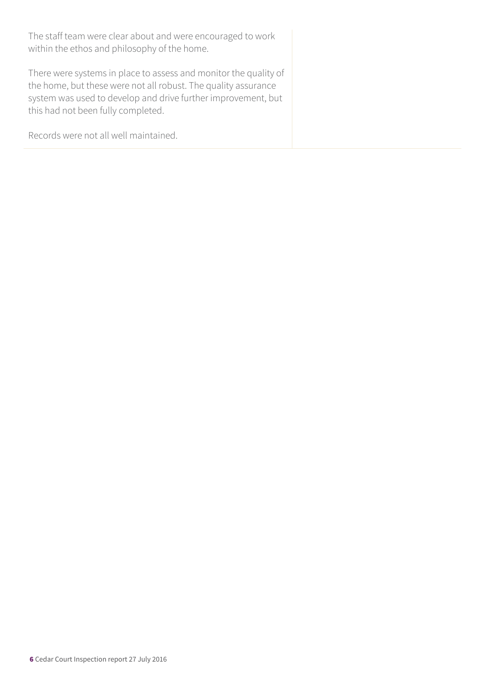The staff team were clear about and were encouraged to work within the ethos and philosophy of the home.

There were systems in place to assess and monitor the quality of the home, but these were not all robust. The quality assurance system was used to develop and drive further improvement, but this had not been fully completed.

Records were not all well maintained.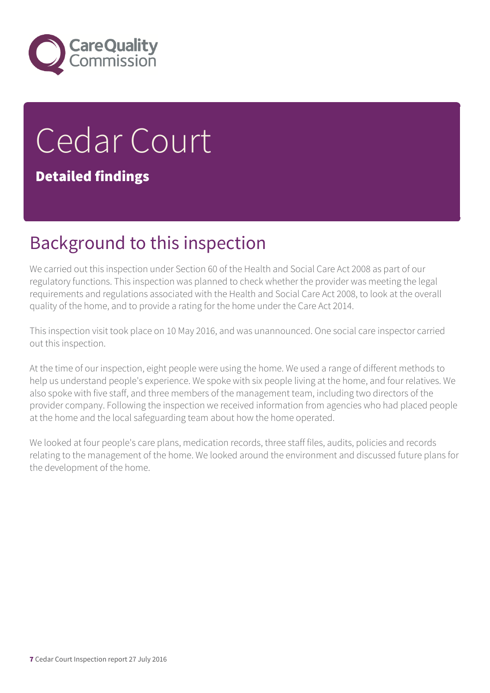

# Cedar Court Detailed findings

### Background to this inspection

We carried out this inspection under Section 60 of the Health and Social Care Act 2008 as part of our regulatory functions. This inspection was planned to check whether the provider was meeting the legal requirements and regulations associated with the Health and Social Care Act 2008, to look at the overall quality of the home, and to provide a rating for the home under the Care Act 2014.

This inspection visit took place on 10 May 2016, and was unannounced. One social care inspector carried out this inspection.

At the time of our inspection, eight people were using the home. We used a range of different methods to help us understand people's experience. We spoke with six people living at the home, and four relatives. We also spoke with five staff, and three members of the management team, including two directors of the provider company. Following the inspection we received information from agencies who had placed people at the home and the local safeguarding team about how the home operated.

We looked at four people's care plans, medication records, three staff files, audits, policies and records relating to the management of the home. We looked around the environment and discussed future plans for the development of the home.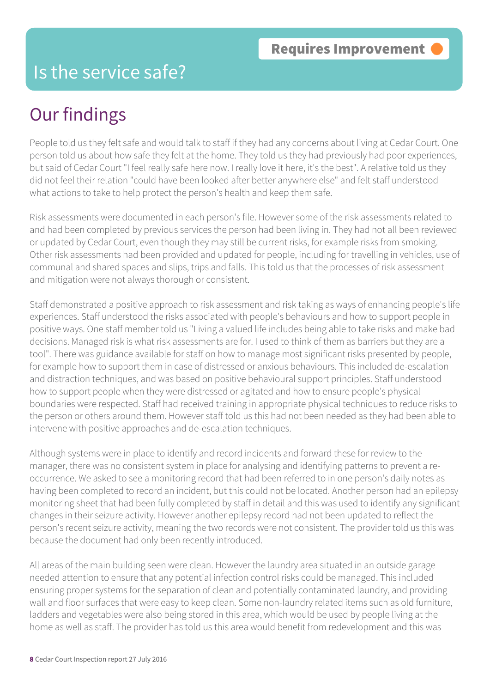#### Is the service safe?

### Our findings

People told us they felt safe and would talk to staff if they had any concerns about living at Cedar Court. One person told us about how safe they felt at the home. They told us they had previously had poor experiences, but said of Cedar Court "I feel really safe here now. I really love it here, it's the best". A relative told us they did not feel their relation "could have been looked after better anywhere else" and felt staff understood what actions to take to help protect the person's health and keep them safe.

Risk assessments were documented in each person's file. However some of the risk assessments related to and had been completed by previous services the person had been living in. They had not all been reviewed or updated by Cedar Court, even though they may still be current risks, for example risks from smoking. Other risk assessments had been provided and updated for people, including for travelling in vehicles, use of communal and shared spaces and slips, trips and falls. This told us that the processes of risk assessment and mitigation were not always thorough or consistent.

Staff demonstrated a positive approach to risk assessment and risk taking as ways of enhancing people's life experiences. Staff understood the risks associated with people's behaviours and how to support people in positive ways. One staff member told us "Living a valued life includes being able to take risks and make bad decisions. Managed risk is what risk assessments are for. I used to think of them as barriers but they are a tool". There was guidance available for staff on how to manage most significant risks presented by people, for example how to support them in case of distressed or anxious behaviours. This included de-escalation and distraction techniques, and was based on positive behavioural support principles. Staff understood how to support people when they were distressed or agitated and how to ensure people's physical boundaries were respected. Staff had received training in appropriate physical techniques to reduce risks to the person or others around them. However staff told us this had not been needed as they had been able to intervene with positive approaches and de-escalation techniques.

Although systems were in place to identify and record incidents and forward these for review to the manager, there was no consistent system in place for analysing and identifying patterns to prevent a reoccurrence. We asked to see a monitoring record that had been referred to in one person's daily notes as having been completed to record an incident, but this could not be located. Another person had an epilepsy monitoring sheet that had been fully completed by staff in detail and this was used to identify any significant changes in their seizure activity. However another epilepsy record had not been updated to reflect the person's recent seizure activity, meaning the two records were not consistent. The provider told us this was because the document had only been recently introduced.

All areas of the main building seen were clean. However the laundry area situated in an outside garage needed attention to ensure that any potential infection control risks could be managed. This included ensuring proper systems for the separation of clean and potentially contaminated laundry, and providing wall and floor surfaces that were easy to keep clean. Some non-laundry related items such as old furniture, ladders and vegetables were also being stored in this area, which would be used by people living at the home as well as staff. The provider has told us this area would benefit from redevelopment and this was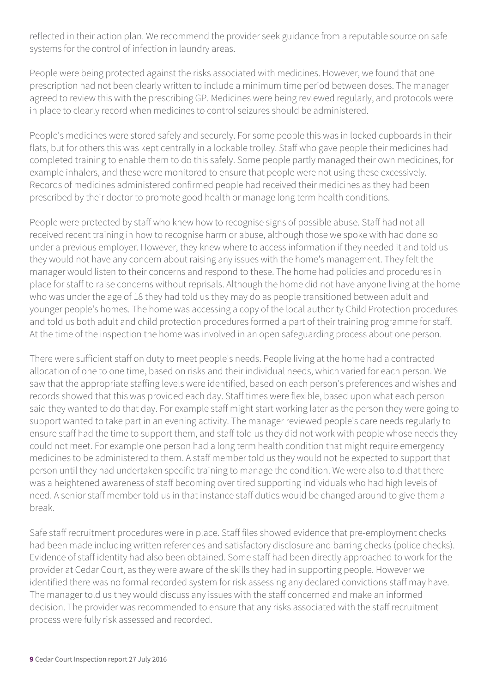reflected in their action plan. We recommend the provider seek guidance from a reputable source on safe systems for the control of infection in laundry areas.

People were being protected against the risks associated with medicines. However, we found that one prescription had not been clearly written to include a minimum time period between doses. The manager agreed to review this with the prescribing GP. Medicines were being reviewed regularly, and protocols were in place to clearly record when medicines to control seizures should be administered.

People's medicines were stored safely and securely. For some people this was in locked cupboards in their flats, but for others this was kept centrally in a lockable trolley. Staff who gave people their medicines had completed training to enable them to do this safely. Some people partly managed their own medicines, for example inhalers, and these were monitored to ensure that people were not using these excessively. Records of medicines administered confirmed people had received their medicines as they had been prescribed by their doctor to promote good health or manage long term health conditions.

People were protected by staff who knew how to recognise signs of possible abuse. Staff had not all received recent training in how to recognise harm or abuse, although those we spoke with had done so under a previous employer. However, they knew where to access information if they needed it and told us they would not have any concern about raising any issues with the home's management. They felt the manager would listen to their concerns and respond to these. The home had policies and procedures in place for staff to raise concerns without reprisals. Although the home did not have anyone living at the home who was under the age of 18 they had told us they may do as people transitioned between adult and younger people's homes. The home was accessing a copy of the local authority Child Protection procedures and told us both adult and child protection procedures formed a part of their training programme for staff. At the time of the inspection the home was involved in an open safeguarding process about one person.

There were sufficient staff on duty to meet people's needs. People living at the home had a contracted allocation of one to one time, based on risks and their individual needs, which varied for each person. We saw that the appropriate staffing levels were identified, based on each person's preferences and wishes and records showed that this was provided each day. Staff times were flexible, based upon what each person said they wanted to do that day. For example staff might start working later as the person they were going to support wanted to take part in an evening activity. The manager reviewed people's care needs regularly to ensure staff had the time to support them, and staff told us they did not work with people whose needs they could not meet. For example one person had a long term health condition that might require emergency medicines to be administered to them. A staff member told us they would not be expected to support that person until they had undertaken specific training to manage the condition. We were also told that there was a heightened awareness of staff becoming over tired supporting individuals who had high levels of need. A senior staff member told us in that instance staff duties would be changed around to give them a break.

Safe staff recruitment procedures were in place. Staff files showed evidence that pre-employment checks had been made including written references and satisfactory disclosure and barring checks (police checks). Evidence of staff identity had also been obtained. Some staff had been directly approached to work for the provider at Cedar Court, as they were aware of the skills they had in supporting people. However we identified there was no formal recorded system for risk assessing any declared convictions staff may have. The manager told us they would discuss any issues with the staff concerned and make an informed decision. The provider was recommended to ensure that any risks associated with the staff recruitment process were fully risk assessed and recorded.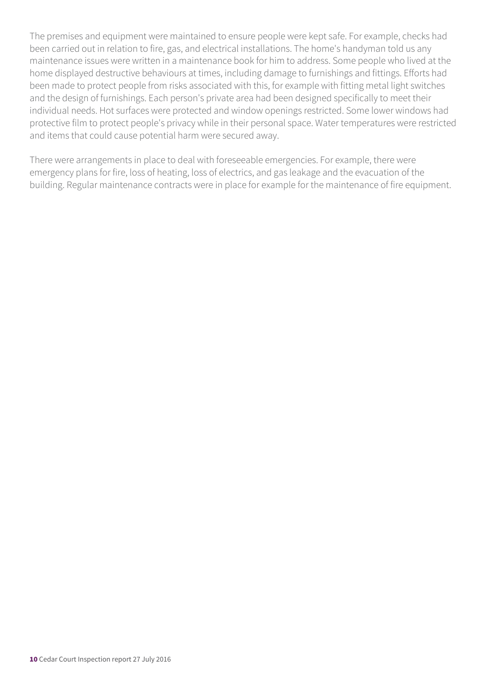The premises and equipment were maintained to ensure people were kept safe. For example, checks had been carried out in relation to fire, gas, and electrical installations. The home's handyman told us any maintenance issues were written in a maintenance book for him to address. Some people who lived at the home displayed destructive behaviours at times, including damage to furnishings and fittings. Efforts had been made to protect people from risks associated with this, for example with fitting metal light switches and the design of furnishings. Each person's private area had been designed specifically to meet their individual needs. Hot surfaces were protected and window openings restricted. Some lower windows had protective film to protect people's privacy while in their personal space. Water temperatures were restricted and items that could cause potential harm were secured away.

There were arrangements in place to deal with foreseeable emergencies. For example, there were emergency plans for fire, loss of heating, loss of electrics, and gas leakage and the evacuation of the building. Regular maintenance contracts were in place for example for the maintenance of fire equipment.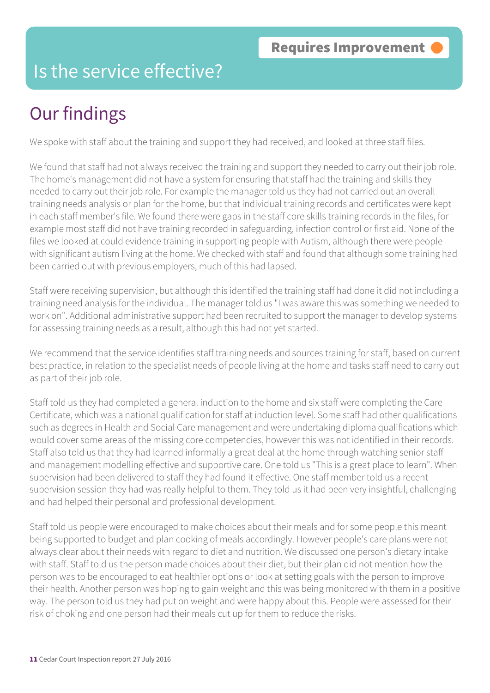#### Is the service effective?

## Our findings

We spoke with staff about the training and support they had received, and looked at three staff files.

We found that staff had not always received the training and support they needed to carry out their job role. The home's management did not have a system for ensuring that staff had the training and skills they needed to carry out their job role. For example the manager told us they had not carried out an overall training needs analysis or plan for the home, but that individual training records and certificates were kept in each staff member's file. We found there were gaps in the staff core skills training records in the files, for example most staff did not have training recorded in safeguarding, infection control or first aid. None of the files we looked at could evidence training in supporting people with Autism, although there were people with significant autism living at the home. We checked with staff and found that although some training had been carried out with previous employers, much of this had lapsed.

Staff were receiving supervision, but although this identified the training staff had done it did not including a training need analysis for the individual. The manager told us "I was aware this was something we needed to work on". Additional administrative support had been recruited to support the manager to develop systems for assessing training needs as a result, although this had not yet started.

We recommend that the service identifies staff training needs and sources training for staff, based on current best practice, in relation to the specialist needs of people living at the home and tasks staff need to carry out as part of their job role.

Staff told us they had completed a general induction to the home and six staff were completing the Care Certificate, which was a national qualification for staff at induction level. Some staff had other qualifications such as degrees in Health and Social Care management and were undertaking diploma qualifications which would cover some areas of the missing core competencies, however this was not identified in their records. Staff also told us that they had learned informally a great deal at the home through watching senior staff and management modelling effective and supportive care. One told us "This is a great place to learn". When supervision had been delivered to staff they had found it effective. One staff member told us a recent supervision session they had was really helpful to them. They told us it had been very insightful, challenging and had helped their personal and professional development.

Staff told us people were encouraged to make choices about their meals and for some people this meant being supported to budget and plan cooking of meals accordingly. However people's care plans were not always clear about their needs with regard to diet and nutrition. We discussed one person's dietary intake with staff. Staff told us the person made choices about their diet, but their plan did not mention how the person was to be encouraged to eat healthier options or look at setting goals with the person to improve their health. Another person was hoping to gain weight and this was being monitored with them in a positive way. The person told us they had put on weight and were happy about this. People were assessed for their risk of choking and one person had their meals cut up for them to reduce the risks.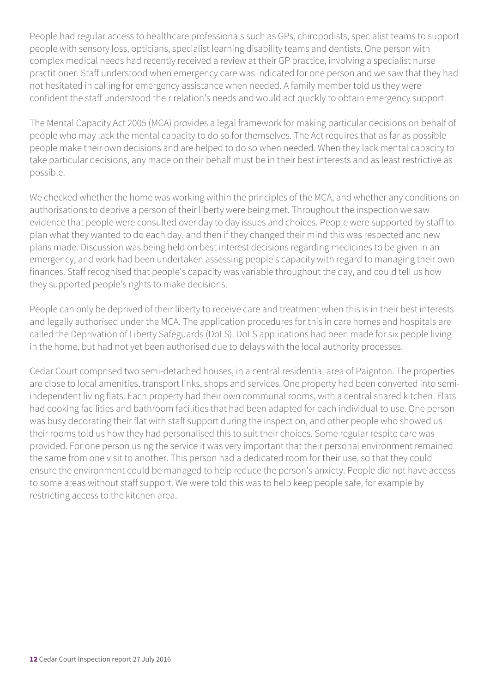People had regular access to healthcare professionals such as GPs, chiropodists, specialist teams to support people with sensory loss, opticians, specialist learning disability teams and dentists. One person with complex medical needs had recently received a review at their GP practice, involving a specialist nurse practitioner. Staff understood when emergency care was indicated for one person and we saw that they had not hesitated in calling for emergency assistance when needed. A family member told us they were confident the staff understood their relation's needs and would act quickly to obtain emergency support.

The Mental Capacity Act 2005 (MCA) provides a legal framework for making particular decisions on behalf of people who may lack the mental capacity to do so for themselves. The Act requires that as far as possible people make their own decisions and are helped to do so when needed. When they lack mental capacity to take particular decisions, any made on their behalf must be in their best interests and as least restrictive as possible.

We checked whether the home was working within the principles of the MCA, and whether any conditions on authorisations to deprive a person of their liberty were being met. Throughout the inspection we saw evidence that people were consulted over day to day issues and choices. People were supported by staff to plan what they wanted to do each day, and then if they changed their mind this was respected and new plans made. Discussion was being held on best interest decisions regarding medicines to be given in an emergency, and work had been undertaken assessing people's capacity with regard to managing their own finances. Staff recognised that people's capacity was variable throughout the day, and could tell us how they supported people's rights to make decisions.

People can only be deprived of their liberty to receive care and treatment when this is in their best interests and legally authorised under the MCA. The application procedures for this in care homes and hospitals are called the Deprivation of Liberty Safeguards (DoLS). DoLS applications had been made for six people living in the home, but had not yet been authorised due to delays with the local authority processes.

Cedar Court comprised two semi-detached houses, in a central residential area of Paignton. The properties are close to local amenities, transport links, shops and services. One property had been converted into semiindependent living flats. Each property had their own communal rooms, with a central shared kitchen. Flats had cooking facilities and bathroom facilities that had been adapted for each individual to use. One person was busy decorating their flat with staff support during the inspection, and other people who showed us their rooms told us how they had personalised this to suit their choices. Some regular respite care was provided. For one person using the service it was very important that their personal environment remained the same from one visit to another. This person had a dedicated room for their use, so that they could ensure the environment could be managed to help reduce the person's anxiety. People did not have access to some areas without staff support. We were told this was to help keep people safe, for example by restricting access to the kitchen area.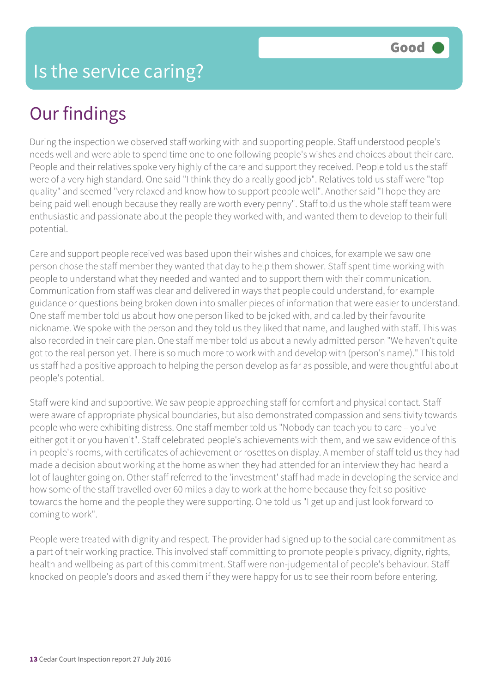## Our findings

During the inspection we observed staff working with and supporting people. Staff understood people's needs well and were able to spend time one to one following people's wishes and choices about their care. People and their relatives spoke very highly of the care and support they received. People told us the staff were of a very high standard. One said "I think they do a really good job". Relatives told us staff were "top quality" and seemed "very relaxed and know how to support people well". Another said "I hope they are being paid well enough because they really are worth every penny". Staff told us the whole staff team were enthusiastic and passionate about the people they worked with, and wanted them to develop to their full potential.

Care and support people received was based upon their wishes and choices, for example we saw one person chose the staff member they wanted that day to help them shower. Staff spent time working with people to understand what they needed and wanted and to support them with their communication. Communication from staff was clear and delivered in ways that people could understand, for example guidance or questions being broken down into smaller pieces of information that were easier to understand. One staff member told us about how one person liked to be joked with, and called by their favourite nickname. We spoke with the person and they told us they liked that name, and laughed with staff. This was also recorded in their care plan. One staff member told us about a newly admitted person "We haven't quite got to the real person yet. There is so much more to work with and develop with (person's name)." This told us staff had a positive approach to helping the person develop as far as possible, and were thoughtful about people's potential.

Staff were kind and supportive. We saw people approaching staff for comfort and physical contact. Staff were aware of appropriate physical boundaries, but also demonstrated compassion and sensitivity towards people who were exhibiting distress. One staff member told us "Nobody can teach you to care – you've either got it or you haven't". Staff celebrated people's achievements with them, and we saw evidence of this in people's rooms, with certificates of achievement or rosettes on display. A member of staff told us they had made a decision about working at the home as when they had attended for an interview they had heard a lot of laughter going on. Other staff referred to the 'investment' staff had made in developing the service and how some of the staff travelled over 60 miles a day to work at the home because they felt so positive towards the home and the people they were supporting. One told us "I get up and just look forward to coming to work".

People were treated with dignity and respect. The provider had signed up to the social care commitment as a part of their working practice. This involved staff committing to promote people's privacy, dignity, rights, health and wellbeing as part of this commitment. Staff were non-judgemental of people's behaviour. Staff knocked on people's doors and asked them if they were happy for us to see their room before entering.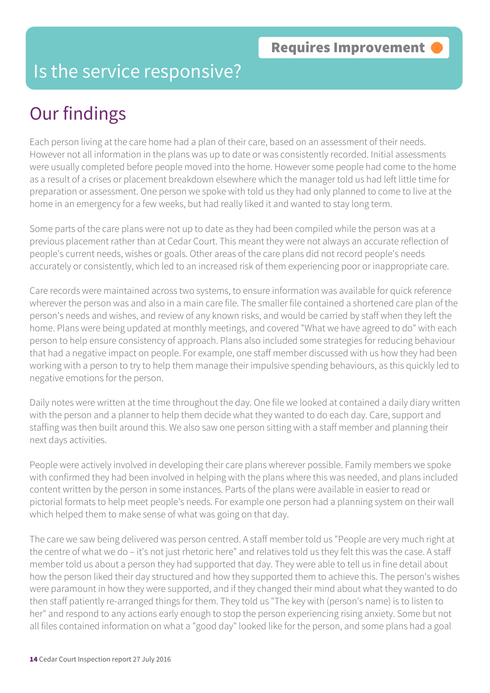#### Is the service responsive?

## Our findings

Each person living at the care home had a plan of their care, based on an assessment of their needs. However not all information in the plans was up to date or was consistently recorded. Initial assessments were usually completed before people moved into the home. However some people had come to the home as a result of a crises or placement breakdown elsewhere which the manager told us had left little time for preparation or assessment. One person we spoke with told us they had only planned to come to live at the home in an emergency for a few weeks, but had really liked it and wanted to stay long term.

Some parts of the care plans were not up to date as they had been compiled while the person was at a previous placement rather than at Cedar Court. This meant they were not always an accurate reflection of people's current needs, wishes or goals. Other areas of the care plans did not record people's needs accurately or consistently, which led to an increased risk of them experiencing poor or inappropriate care.

Care records were maintained across two systems, to ensure information was available for quick reference wherever the person was and also in a main care file. The smaller file contained a shortened care plan of the person's needs and wishes, and review of any known risks, and would be carried by staff when they left the home. Plans were being updated at monthly meetings, and covered "What we have agreed to do" with each person to help ensure consistency of approach. Plans also included some strategies for reducing behaviour that had a negative impact on people. For example, one staff member discussed with us how they had been working with a person to try to help them manage their impulsive spending behaviours, as this quickly led to negative emotions for the person.

Daily notes were written at the time throughout the day. One file we looked at contained a daily diary written with the person and a planner to help them decide what they wanted to do each day. Care, support and staffing was then built around this. We also saw one person sitting with a staff member and planning their next days activities.

People were actively involved in developing their care plans wherever possible. Family members we spoke with confirmed they had been involved in helping with the plans where this was needed, and plans included content written by the person in some instances. Parts of the plans were available in easier to read or pictorial formats to help meet people's needs. For example one person had a planning system on their wall which helped them to make sense of what was going on that day.

The care we saw being delivered was person centred. A staff member told us "People are very much right at the centre of what we do – it's not just rhetoric here" and relatives told us they felt this was the case. A staff member told us about a person they had supported that day. They were able to tell us in fine detail about how the person liked their day structured and how they supported them to achieve this. The person's wishes were paramount in how they were supported, and if they changed their mind about what they wanted to do then staff patiently re-arranged things for them. They told us "The key with (person's name) is to listen to her" and respond to any actions early enough to stop the person experiencing rising anxiety. Some but not all files contained information on what a "good day" looked like for the person, and some plans had a goal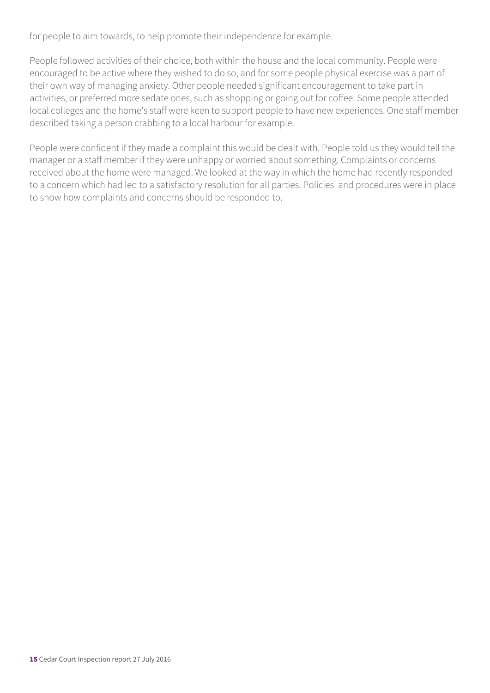for people to aim towards, to help promote their independence for example.

People followed activities of their choice, both within the house and the local community. People were encouraged to be active where they wished to do so, and for some people physical exercise was a part of their own way of managing anxiety. Other people needed significant encouragement to take part in activities, or preferred more sedate ones, such as shopping or going out for coffee. Some people attended local colleges and the home's staff were keen to support people to have new experiences. One staff member described taking a person crabbing to a local harbour for example.

People were confident if they made a complaint this would be dealt with. People told us they would tell the manager or a staff member if they were unhappy or worried about something. Complaints or concerns received about the home were managed. We looked at the way in which the home had recently responded to a concern which had led to a satisfactory resolution for all parties. Policies' and procedures were in place to show how complaints and concerns should be responded to.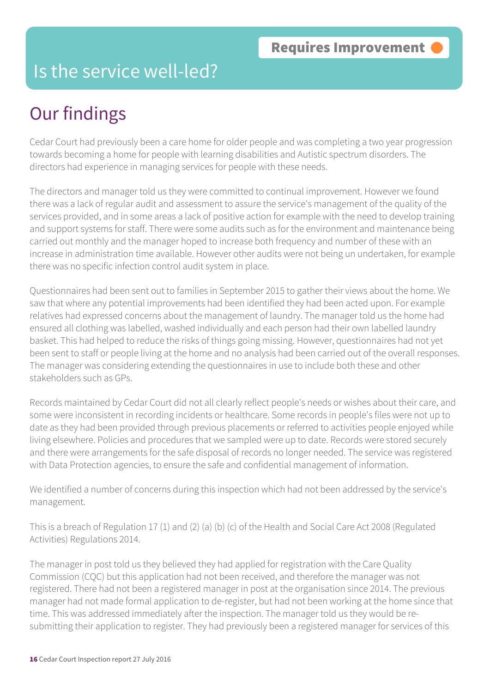#### Is the service well-led?

## Our findings

Cedar Court had previously been a care home for older people and was completing a two year progression towards becoming a home for people with learning disabilities and Autistic spectrum disorders. The directors had experience in managing services for people with these needs.

The directors and manager told us they were committed to continual improvement. However we found there was a lack of regular audit and assessment to assure the service's management of the quality of the services provided, and in some areas a lack of positive action for example with the need to develop training and support systems for staff. There were some audits such as for the environment and maintenance being carried out monthly and the manager hoped to increase both frequency and number of these with an increase in administration time available. However other audits were not being un undertaken, for example there was no specific infection control audit system in place.

Questionnaires had been sent out to families in September 2015 to gather their views about the home. We saw that where any potential improvements had been identified they had been acted upon. For example relatives had expressed concerns about the management of laundry. The manager told us the home had ensured all clothing was labelled, washed individually and each person had their own labelled laundry basket. This had helped to reduce the risks of things going missing. However, questionnaires had not yet been sent to staff or people living at the home and no analysis had been carried out of the overall responses. The manager was considering extending the questionnaires in use to include both these and other stakeholders such as GPs.

Records maintained by Cedar Court did not all clearly reflect people's needs or wishes about their care, and some were inconsistent in recording incidents or healthcare. Some records in people's files were not up to date as they had been provided through previous placements or referred to activities people enjoyed while living elsewhere. Policies and procedures that we sampled were up to date. Records were stored securely and there were arrangements for the safe disposal of records no longer needed. The service was registered with Data Protection agencies, to ensure the safe and confidential management of information.

We identified a number of concerns during this inspection which had not been addressed by the service's management.

This is a breach of Regulation 17 (1) and (2) (a) (b) (c) of the Health and Social Care Act 2008 (Regulated Activities) Regulations 2014.

The manager in post told us they believed they had applied for registration with the Care Quality Commission (CQC) but this application had not been received, and therefore the manager was not registered. There had not been a registered manager in post at the organisation since 2014. The previous manager had not made formal application to de-register, but had not been working at the home since that time. This was addressed immediately after the inspection. The manager told us they would be resubmitting their application to register. They had previously been a registered manager for services of this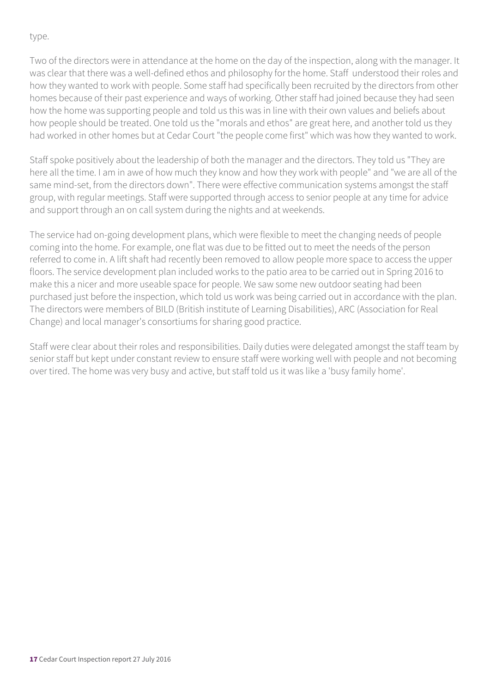type.

Two of the directors were in attendance at the home on the day of the inspection, along with the manager. It was clear that there was a well-defined ethos and philosophy for the home. Staff understood their roles and how they wanted to work with people. Some staff had specifically been recruited by the directors from other homes because of their past experience and ways of working. Other staff had joined because they had seen how the home was supporting people and told us this was in line with their own values and beliefs about how people should be treated. One told us the "morals and ethos" are great here, and another told us they had worked in other homes but at Cedar Court "the people come first" which was how they wanted to work.

Staff spoke positively about the leadership of both the manager and the directors. They told us "They are here all the time. I am in awe of how much they know and how they work with people" and "we are all of the same mind-set, from the directors down". There were effective communication systems amongst the staff group, with regular meetings. Staff were supported through access to senior people at any time for advice and support through an on call system during the nights and at weekends.

The service had on-going development plans, which were flexible to meet the changing needs of people coming into the home. For example, one flat was due to be fitted out to meet the needs of the person referred to come in. A lift shaft had recently been removed to allow people more space to access the upper floors. The service development plan included works to the patio area to be carried out in Spring 2016 to make this a nicer and more useable space for people. We saw some new outdoor seating had been purchased just before the inspection, which told us work was being carried out in accordance with the plan. The directors were members of BILD (British institute of Learning Disabilities), ARC (Association for Real Change) and local manager's consortiums for sharing good practice.

Staff were clear about their roles and responsibilities. Daily duties were delegated amongst the staff team by senior staff but kept under constant review to ensure staff were working well with people and not becoming over tired. The home was very busy and active, but staff told us it was like a 'busy family home'.